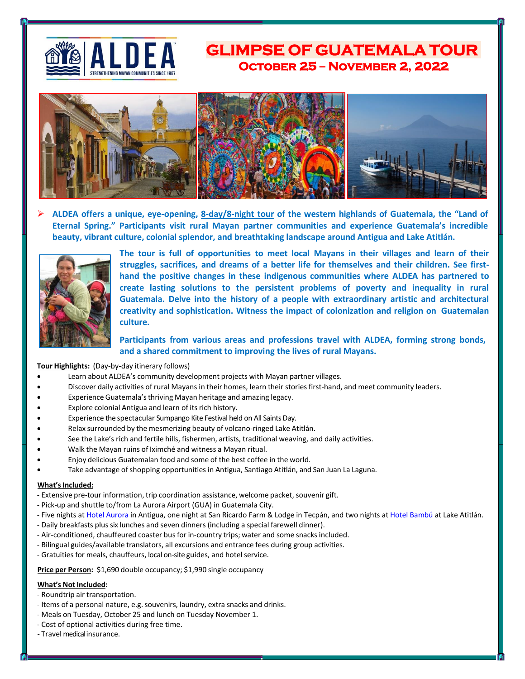

# **GLIMPSE OF GUATEMALA TOUROctober 25 – November 2, 2022**



➢ **ALDEA offers a unique, eye-opening, 8-day/8-night tour of the western highlands of Guatemala, the "Land of Eternal Spring." Participants visit rural Mayan partner communities and experience Guatemala's incredible beauty, vibrant culture, colonial splendor, and breathtaking landscape around Antigua and Lake Atitlán.**



**The tour is full of opportunities to meet local Mayans in their villages and learn of their struggles, sacrifices, and dreams of a better life for themselves and their children. See firsthand the positive changes in these indigenous communities where ALDEA has partnered to create lasting solutions to the persistent problems of poverty and inequality in rural Guatemala. Delve into the history of a people with extraordinary artistic and architectural creativity and sophistication. Witness the impact of colonization and religion on Guatemalan culture.**

## **Participants from various areas and professions travel with ALDEA, forming strong bonds, and a shared commitment to improving the lives of rural Mayans.**

### **Tour Highlights:** (Day-by-day itinerary follows)

- Learn about ALDEA's community development projects with Mayan partner villages.
- Discover daily activities of rural Mayans in their homes, learn their stories first-hand, and meet community leaders.
- Experience Guatemala's thriving Mayan heritage and amazing legacy.
- Explore colonial Antigua and learn of its rich history.
- Experience the spectacular Sumpango Kite Festival held on All Saints Day.
- Relax surrounded by the mesmerizing beauty of volcano-ringed Lake Atitlán.
- See the Lake's rich and fertile hills, fishermen, artists, traditional weaving, and daily activities.
- Walk the Mayan ruins of Iximché and witness a Mayan ritual.
- Enjoy delicious Guatemalan food and some of the best coffee in the world.
- Take advantage ofshopping opportunities in Antigua, Santiago Atitlán, and San Juan La Laguna.

#### **What'sIncluded:**

- Extensive pre-tour information, trip coordination assistance, welcome packet, souvenir gift.
- Pick-up and shuttle to/from La Aurora Airport (GUA) in Guatemala City.
- Five nights at [Hotel Aurora](http://www.hotelauroraantigua.com/en/) in Antigua, one night at San Ricardo Farm & Lodge in Tecpán, and two nights a[t Hotel Bambú](http://ecobambu.com/hotel-atitlan-lake-guatemala/) at Lake Atitlán.
- Daily breakfasts plus six lunches and seven dinners (including a special farewell dinner).
- Air-conditioned, chauffeured coaster busfor in-country trips; water and some snacksincluded.
- Bilingual guides/available translators, all excursions and entrance fees during group activities.
- Gratuities for meals, chauffeurs, local on-site guides, and hotel service.

**Price per Person:** \$1,690 double occupancy; \$1,990 single occupancy

### **What's Not Included:**

- Roundtrip air transportation.
- Items of a personal nature, e.g. souvenirs, laundry, extra snacks and drinks.
- Meals on Tuesday, October 25 and lunch on Tuesday November 1.
- Cost of optional activities during free time.
- Travel medical insurance.